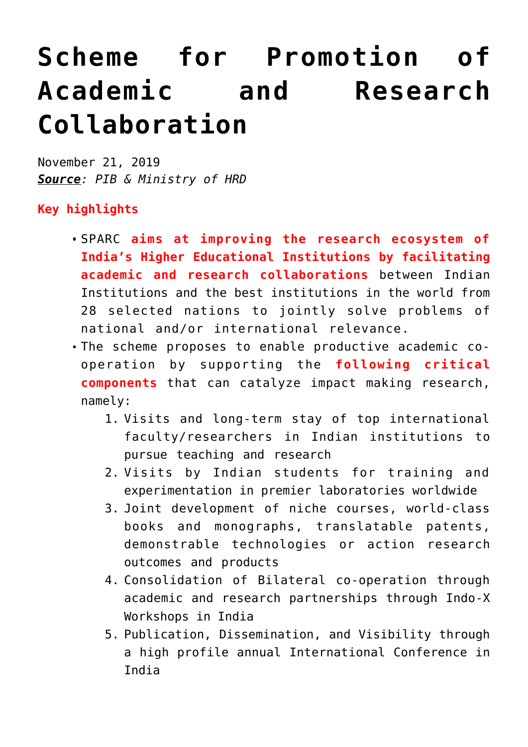## **[Scheme for Promotion of](https://journalsofindia.com/scheme-for-promotion-of-academic-and-research-collaboration/) [Academic and Research](https://journalsofindia.com/scheme-for-promotion-of-academic-and-research-collaboration/) [Collaboration](https://journalsofindia.com/scheme-for-promotion-of-academic-and-research-collaboration/)**

November 21, 2019 *Source: PIB & Ministry of HRD*

## **Key highlights**

- SPARC **aims at improving the research ecosystem of India's Higher Educational Institutions by facilitating academic and research collaborations** between Indian Institutions and the best institutions in the world from 28 selected nations to jointly solve problems of national and/or international relevance.
- The scheme proposes to enable productive academic cooperation by supporting the **following critical components** that can catalyze impact making research, namely:
	- 1. Visits and long-term stay of top international faculty/researchers in Indian institutions to pursue teaching and research
	- 2. Visits by Indian students for training and experimentation in premier laboratories worldwide
	- 3. Joint development of niche courses, world-class books and monographs, translatable patents, demonstrable technologies or action research outcomes and products
	- 4. Consolidation of Bilateral co-operation through academic and research partnerships through Indo-X Workshops in India
	- 5. Publication, Dissemination, and Visibility through a high profile annual International Conference in India